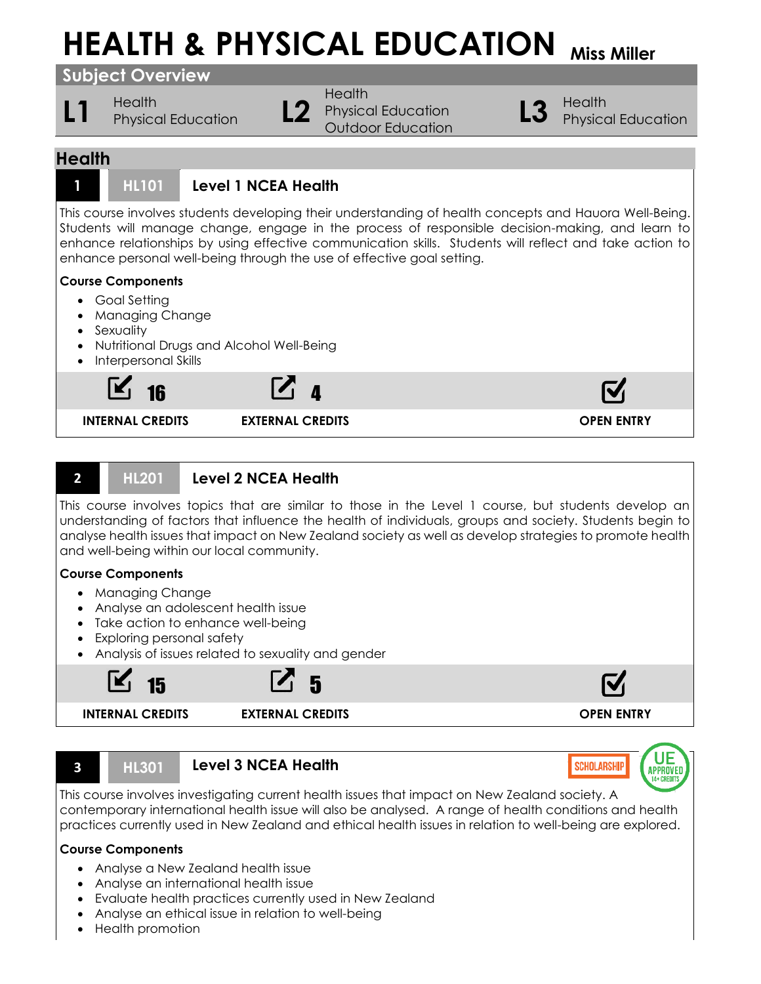# **HEALTH & PHYSICAL EDUCATION** Miss Miller

**Subject Overview**

L1 **Health** Physical Education **L2** 

**Health** Physical Education Outdoor Education

**L3** Physical Education

UE

**APPROVED** 

**SCHOLARSHIP** 

# **Health**



# **1 HL101 Level 1 NCEA Health**

This course involves students developing their understanding of health concepts and Hauora Well-Being. Students will manage change, engage in the process of responsible decision-making, and learn to enhance relationships by using effective communication skills. Students will reflect and take action to enhance personal well-being through the use of effective goal setting.

# **Course Components**

- Goal Setting
- Managing Change
- Sexuality
- Nutritional Drugs and Alcohol Well-Being
- Interpersonal Skills



# **2 HL201 Level 2 NCEA Health**

This course involves topics that are similar to those in the Level 1 course, but students develop an understanding of factors that influence the health of individuals, groups and society. Students begin to analyse health issues that impact on New Zealand society as well as develop strategies to promote health and well-being within our local community.

#### **Course Components**

- Managing Change
- Analyse an adolescent health issue
- Take action to enhance well-being
- Exploring personal safety
- Analysis of issues related to sexuality and gender



#### **3 HL301 Level 3 NCEA Health**

This course involves investigating current health issues that impact on New Zealand society. A contemporary international health issue will also be analysed. A range of health conditions and health practices currently used in New Zealand and ethical health issues in relation to well-being are explored.

#### **Course Components**

- Analyse a New Zealand health issue
- Analyse an international health issue
- Evaluate health practices currently used in New Zealand
- Analyse an ethical issue in relation to well-being
- Health promotion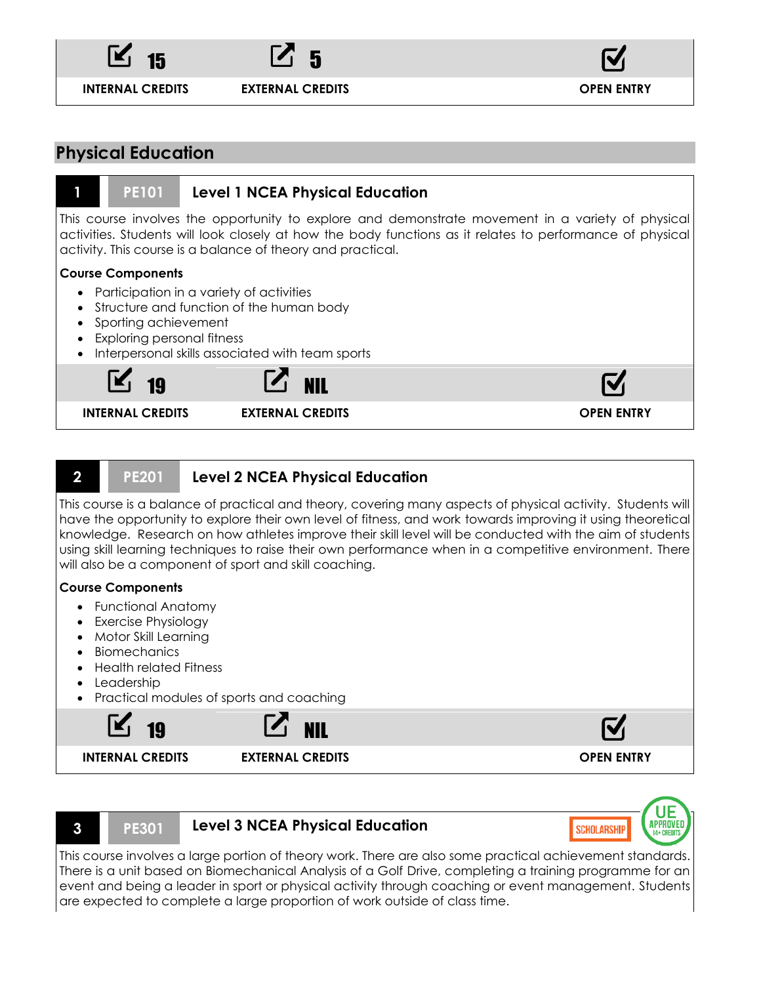

 $15$   $\Box$  5

**INTERNAL CREDITS EXTERNAL CREDITS OPEN ENTRY**



# **Physical Education**

#### **1 PE101 Level 1 NCEA Physical Education**

This course involves the opportunity to explore and demonstrate movement in a variety of physical activities. Students will look closely at how the body functions as it relates to performance of physical activity. This course is a balance of theory and practical.

#### **Course Components**

- Participation in a variety of activities
- Structure and function of the human body
- Sporting achievement
- Exploring personal fitness
- Interpersonal skills associated with team sports



# **2 PE201 Level 2 NCEA Physical Education**

This course is a balance of practical and theory, covering many aspects of physical activity. Students will have the opportunity to explore their own level of fitness, and work towards improving it using theoretical knowledge. Research on how athletes improve their skill level will be conducted with the aim of students using skill learning techniques to raise their own performance when in a competitive environment. There will also be a component of sport and skill coaching.

#### **Course Components**

- Functional Anatomy
- Exercise Physiology
- Motor Skill Learning
- Biomechanics
- Health related Fitness
- Leadership
- Practical modules of sports and coaching





#### **3 PE301 Level 3 NCEA Physical Education**



This course involves a large portion of theory work. There are also some practical achievement standards. There is a unit based on Biomechanical Analysis of a Golf Drive, completing a training programme for an event and being a leader in sport or physical activity through coaching or event management. Students are expected to complete a large proportion of work outside of class time.